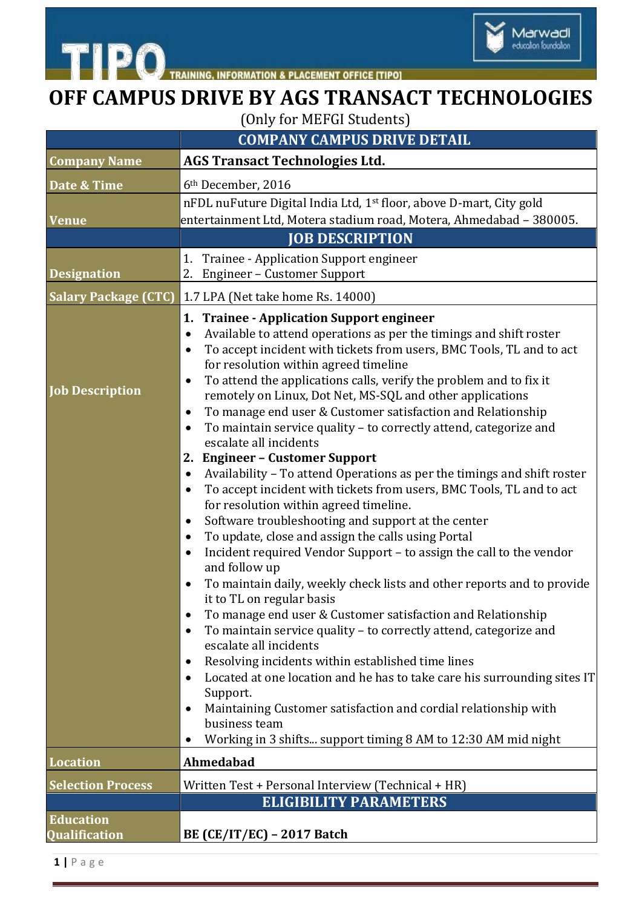

## **OFF CAMPUS DRIVE BY AGS TRANSACT TECHNOLOGIES**

Marwadi<br>education foundation

(Only for MEFGI Students)

|                                          | <b>COMPANY CAMPUS DRIVE DETAIL</b>                                                                                                                                                                                                                                                                                                                                                                                                                                                                                                                                                                                                                                                                                                                                                                                                                                                                                                                                                                                                                                                                                                                                                                                                                                                                                                                                                                                                                                                                                                                                                                                                                                                                                  |
|------------------------------------------|---------------------------------------------------------------------------------------------------------------------------------------------------------------------------------------------------------------------------------------------------------------------------------------------------------------------------------------------------------------------------------------------------------------------------------------------------------------------------------------------------------------------------------------------------------------------------------------------------------------------------------------------------------------------------------------------------------------------------------------------------------------------------------------------------------------------------------------------------------------------------------------------------------------------------------------------------------------------------------------------------------------------------------------------------------------------------------------------------------------------------------------------------------------------------------------------------------------------------------------------------------------------------------------------------------------------------------------------------------------------------------------------------------------------------------------------------------------------------------------------------------------------------------------------------------------------------------------------------------------------------------------------------------------------------------------------------------------------|
| <b>Company Name</b>                      | <b>AGS Transact Technologies Ltd.</b>                                                                                                                                                                                                                                                                                                                                                                                                                                                                                                                                                                                                                                                                                                                                                                                                                                                                                                                                                                                                                                                                                                                                                                                                                                                                                                                                                                                                                                                                                                                                                                                                                                                                               |
| Date & Time                              | 6 <sup>th</sup> December, 2016                                                                                                                                                                                                                                                                                                                                                                                                                                                                                                                                                                                                                                                                                                                                                                                                                                                                                                                                                                                                                                                                                                                                                                                                                                                                                                                                                                                                                                                                                                                                                                                                                                                                                      |
| <b>Venue</b>                             | nFDL nuFuture Digital India Ltd, 1 <sup>st</sup> floor, above D-mart, City gold<br>entertainment Ltd, Motera stadium road, Motera, Ahmedabad - 380005.                                                                                                                                                                                                                                                                                                                                                                                                                                                                                                                                                                                                                                                                                                                                                                                                                                                                                                                                                                                                                                                                                                                                                                                                                                                                                                                                                                                                                                                                                                                                                              |
|                                          | <b>JOB DESCRIPTION</b>                                                                                                                                                                                                                                                                                                                                                                                                                                                                                                                                                                                                                                                                                                                                                                                                                                                                                                                                                                                                                                                                                                                                                                                                                                                                                                                                                                                                                                                                                                                                                                                                                                                                                              |
| <b>Designation</b>                       | 1. Trainee - Application Support engineer<br>2. Engineer – Customer Support                                                                                                                                                                                                                                                                                                                                                                                                                                                                                                                                                                                                                                                                                                                                                                                                                                                                                                                                                                                                                                                                                                                                                                                                                                                                                                                                                                                                                                                                                                                                                                                                                                         |
| <b>Salary Package (CTC)</b>              | 1.7 LPA (Net take home Rs. 14000)                                                                                                                                                                                                                                                                                                                                                                                                                                                                                                                                                                                                                                                                                                                                                                                                                                                                                                                                                                                                                                                                                                                                                                                                                                                                                                                                                                                                                                                                                                                                                                                                                                                                                   |
| <b>Job Description</b>                   | 1. Trainee - Application Support engineer<br>Available to attend operations as per the timings and shift roster<br>$\bullet$<br>To accept incident with tickets from users, BMC Tools, TL and to act<br>$\bullet$<br>for resolution within agreed timeline<br>To attend the applications calls, verify the problem and to fix it<br>٠<br>remotely on Linux, Dot Net, MS-SQL and other applications<br>To manage end user & Customer satisfaction and Relationship<br>٠<br>To maintain service quality - to correctly attend, categorize and<br>$\bullet$<br>escalate all incidents<br>2. Engineer - Customer Support<br>Availability - To attend Operations as per the timings and shift roster<br>$\bullet$<br>To accept incident with tickets from users, BMC Tools, TL and to act<br>٠<br>for resolution within agreed timeline.<br>Software troubleshooting and support at the center<br>$\bullet$<br>To update, close and assign the calls using Portal<br>$\bullet$<br>Incident required Vendor Support - to assign the call to the vendor<br>$\bullet$<br>and follow up<br>To maintain daily, weekly check lists and other reports and to provide<br>$\bullet$<br>it to TL on regular basis<br>To manage end user & Customer satisfaction and Relationship<br>To maintain service quality - to correctly attend, categorize and<br>٠<br>escalate all incidents<br>Resolving incidents within established time lines<br>٠<br>Located at one location and he has to take care his surrounding sites IT<br>$\bullet$<br>Support.<br>Maintaining Customer satisfaction and cordial relationship with<br>$\bullet$<br>business team<br>Working in 3 shifts support timing 8 AM to 12:30 AM mid night<br>$\bullet$ |
| <b>Location</b>                          | Ahmedabad                                                                                                                                                                                                                                                                                                                                                                                                                                                                                                                                                                                                                                                                                                                                                                                                                                                                                                                                                                                                                                                                                                                                                                                                                                                                                                                                                                                                                                                                                                                                                                                                                                                                                                           |
| <b>Selection Process</b>                 | Written Test + Personal Interview (Technical + HR)                                                                                                                                                                                                                                                                                                                                                                                                                                                                                                                                                                                                                                                                                                                                                                                                                                                                                                                                                                                                                                                                                                                                                                                                                                                                                                                                                                                                                                                                                                                                                                                                                                                                  |
|                                          | <b>ELIGIBILITY PARAMETERS</b>                                                                                                                                                                                                                                                                                                                                                                                                                                                                                                                                                                                                                                                                                                                                                                                                                                                                                                                                                                                                                                                                                                                                                                                                                                                                                                                                                                                                                                                                                                                                                                                                                                                                                       |
| <b>Education</b><br><b>Qualification</b> | BE $(CE/IT/EC)$ – 2017 Batch                                                                                                                                                                                                                                                                                                                                                                                                                                                                                                                                                                                                                                                                                                                                                                                                                                                                                                                                                                                                                                                                                                                                                                                                                                                                                                                                                                                                                                                                                                                                                                                                                                                                                        |